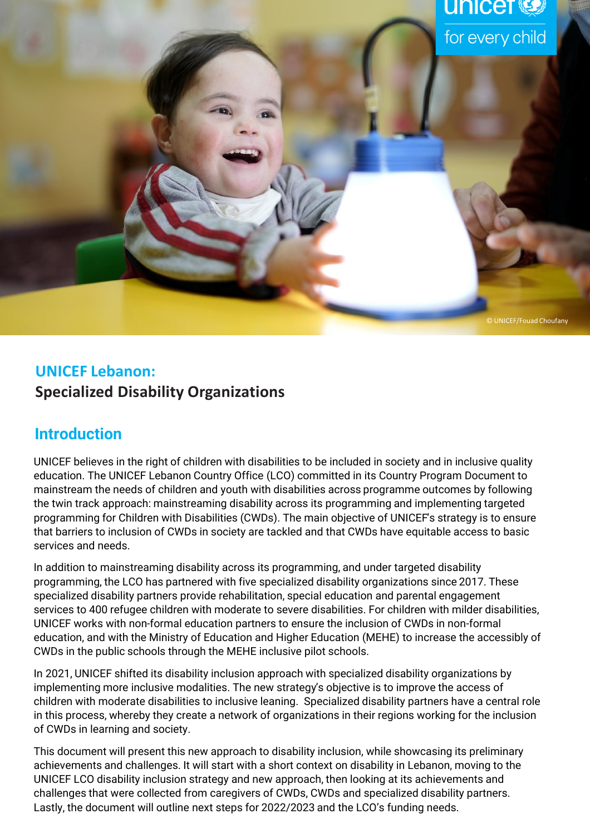

# **UNICEF Lebanon: Specialized Disability Organizations**

# **Introduction**

UNICEF believes in the right of children with disabilities to be included in society and in inclusive quality education. The UNICEF Lebanon Country Office (LCO) committed in its Country Program Document to mainstream the needs of children and youth with disabilities across programme outcomes by following the twin track approach: mainstreaming disability across its programming and implementing targeted programming for Children with Disabilities (CWDs). The main objective of UNICEF's strategy is to ensure that barriers to inclusion of CWDs in society are tackled and that CWDs have equitable access to basic services and needs.

In addition to mainstreaming disability across its programming, and under targeted disability programming, the LCO has partnered with five specialized disability organizations since 2017. These specialized disability partners provide rehabilitation, special education and parental engagement services to 400 refugee children with moderate to severe disabilities. For children with milder disabilities, UNICEF works with non-formal education partners to ensure the inclusion of CWDs in non-formal education, and with the Ministry of Education and Higher Education (MEHE) to increase the accessibly of CWDs in the public schools through the MEHE inclusive pilot schools.

In 2021, UNICEF shifted its disability inclusion approach with specialized disability organizations by implementing more inclusive modalities. The new strategy's objective is to improve the access of children with moderate disabilities to inclusive leaning. Specialized disability partners have a central role in this process, whereby they create a network of organizations in their regions working for the inclusion of CWDs in learning and society.

This document will present this new approach to disability inclusion, while showcasing its preliminary achievements and challenges. It will start with a short context on disability in Lebanon, moving to the UNICEF LCO disability inclusion strategy and new approach, then looking at its achievements and challenges that were collected from caregivers of CWDs, CWDs and specialized disability partners. Lastly, the document will outline next steps for 2022/2023 and the LCO's funding needs.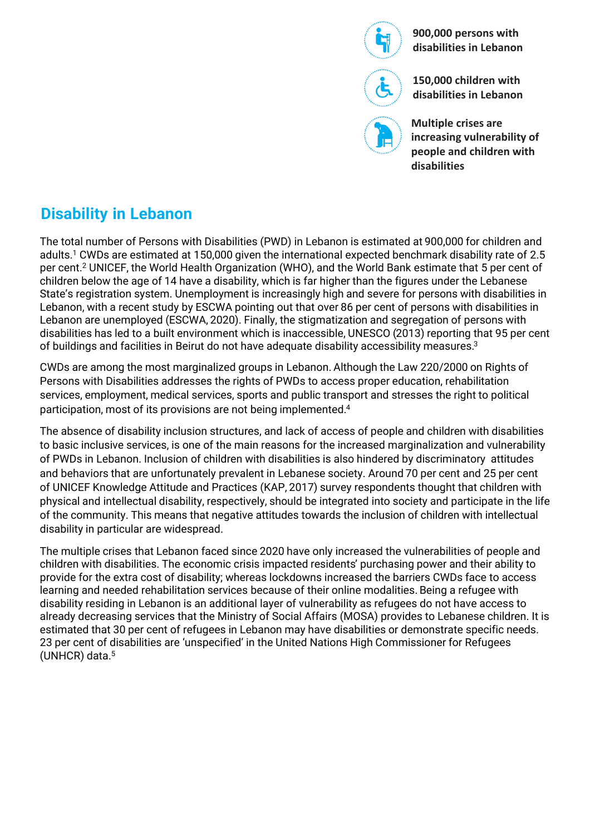

**900,000 persons with disabilities in Lebanon**

**150,000 children with disabilities in Lebanon**

**Multiple crises are increasing vulnerability of people and children with disabilities**

# **Disability in Lebanon**

The total number of Persons with Disabilities (PWD) in Lebanon is estimated at 900,000 for children and adults.<sup>1</sup> CWDs are estimated at 150,000 given the international expected benchmark disability rate of 2.5 per cent.<sup>2</sup> UNICEF, the World Health Organization (WHO), and the World Bank estimate that 5 per cent of children below the age of 14 have a disability, which is far higher than the figures under the Lebanese State's registration system. Unemployment is increasingly high and severe for persons with disabilities in Lebanon, with a recent study by ESCWA pointing out that over 86 per cent of persons with disabilities in Lebanon are unemployed (ESCWA, 2020). Finally, the stigmatization and segregation of persons with disabilities has led to a built environment which is inaccessible, UNESCO (2013) reporting that 95 per cent of buildings and facilities in Beirut do not have adequate disability accessibility measures.<sup>3</sup>

CWDs are among the most marginalized groups in Lebanon. Although the Law 220/2000 on Rights of Persons with Disabilities addresses the rights of PWDs to access proper education, rehabilitation services, employment, medical services, sports and public transport and stresses the right to political participation, most of its provisions are not being implemented.<sup>4</sup>

The absence of disability inclusion structures, and lack of access of people and children with disabilities to basic inclusive services, is one of the main reasons for the increased marginalization and vulnerability of PWDs in Lebanon. Inclusion of children with disabilities is also hindered by discriminatory attitudes and behaviors that are unfortunately prevalent in Lebanese society. Around 70 per cent and 25 per cent of UNICEF Knowledge Attitude and Practices (KAP, 2017) survey respondents thought that children with physical and intellectual disability, respectively, should be integrated into society and participate in the life of the community. This means that negative attitudes towards the inclusion of children with intellectual disability in particular are widespread.

The multiple crises that Lebanon faced since 2020 have only increased the vulnerabilities of people and children with disabilities. The economic crisis impacted residents' purchasing power and their ability to provide for the extra cost of disability; whereas lockdowns increased the barriers CWDs face to access learning and needed rehabilitation services because of their online modalities. Being a refugee with disability residing in Lebanon is an additional layer of vulnerability as refugees do not have access to already decreasing services that the Ministry of Social Affairs (MOSA) provides to Lebanese children. It is estimated that 30 per cent of refugees in Lebanon may have disabilities or demonstrate specific needs. 23 per cent of disabilities are 'unspecified' in the United Nations High Commissioner for Refugees (UNHCR) data.<sup>5</sup>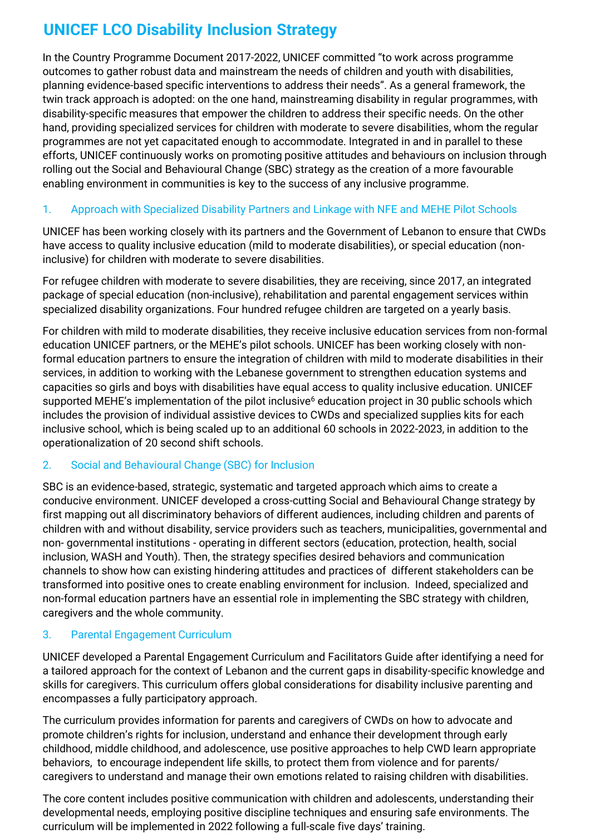# **UNICEF LCO Disability Inclusion Strategy**

In the Country Programme Document 2017-2022, UNICEF committed "to work across programme outcomes to gather robust data and mainstream the needs of children and youth with disabilities, planning evidence-based specific interventions to address their needs". As a general framework, the twin track approach is adopted: on the one hand, mainstreaming disability in regular programmes, with disability-specific measures that empower the children to address their specific needs. On the other hand, providing specialized services for children with moderate to severe disabilities, whom the regular programmes are not yet capacitated enough to accommodate. Integrated in and in parallel to these efforts, UNICEF continuously works on promoting positive attitudes and behaviours on inclusion through rolling out the Social and Behavioural Change (SBC) strategy as the creation of a more favourable enabling environment in communities is key to the success of any inclusive programme.

### 1. Approach with Specialized Disability Partners and Linkage with NFE and MEHE Pilot Schools

UNICEF has been working closely with its partners and the Government of Lebanon to ensure that CWDs have access to quality inclusive education (mild to moderate disabilities), or special education (noninclusive) for children with moderate to severe disabilities.

For refugee children with moderate to severe disabilities, they are receiving, since 2017, an integrated package of special education (non-inclusive), rehabilitation and parental engagement services within specialized disability organizations. Four hundred refugee children are targeted on a yearly basis.

For children with mild to moderate disabilities, they receive inclusive education services from non-formal education UNICEF partners, or the MEHE's pilot schools. UNICEF has been working closely with nonformal education partners to ensure the integration of children with mild to moderate disabilities in their services, in addition to working with the Lebanese government to strengthen education systems and capacities so girls and boys with disabilities have equal access to quality inclusive education. UNICEF supported MEHE's implementation of the pilot inclusive<sup>6</sup> education project in 30 public schools which includes the provision of individual assistive devices to CWDs and specialized supplies kits for each inclusive school, which is being scaled up to an additional 60 schools in 2022-2023, in addition to the operationalization of 20 second shift schools.

### 2. Social and Behavioural Change (SBC) for Inclusion

SBC is an evidence-based, strategic, systematic and targeted approach which aims to create a conducive environment. UNICEF developed a cross-cutting Social and Behavioural Change strategy by first mapping out all discriminatory behaviors of different audiences, including children and parents of children with and without disability, service providers such as teachers, municipalities, governmental and non- governmental institutions - operating in different sectors (education, protection, health, social inclusion, WASH and Youth). Then, the strategy specifies desired behaviors and communication channels to show how can existing hindering attitudes and practices of different stakeholders can be transformed into positive ones to create enabling environment for inclusion. Indeed, specialized and non-formal education partners have an essential role in implementing the SBC strategy with children, caregivers and the whole community.

### 3. Parental Engagement Curriculum

UNICEF developed a Parental Engagement Curriculum and Facilitators Guide after identifying a need for a tailored approach for the context of Lebanon and the current gaps in disability-specific knowledge and skills for caregivers. This curriculum offers global considerations for disability inclusive parenting and encompasses a fully participatory approach.

The curriculum provides information for parents and caregivers of CWDs on how to advocate and promote children's rights for inclusion, understand and enhance their development through early childhood, middle childhood, and adolescence, use positive approaches to help CWD learn appropriate behaviors, to encourage independent life skills, to protect them from violence and for parents/ caregivers to understand and manage their own emotions related to raising children with disabilities.

The core content includes positive communication with children and adolescents, understanding their developmental needs, employing positive discipline techniques and ensuring safe environments. The curriculum will be implemented in 2022 following a full-scale five days' training.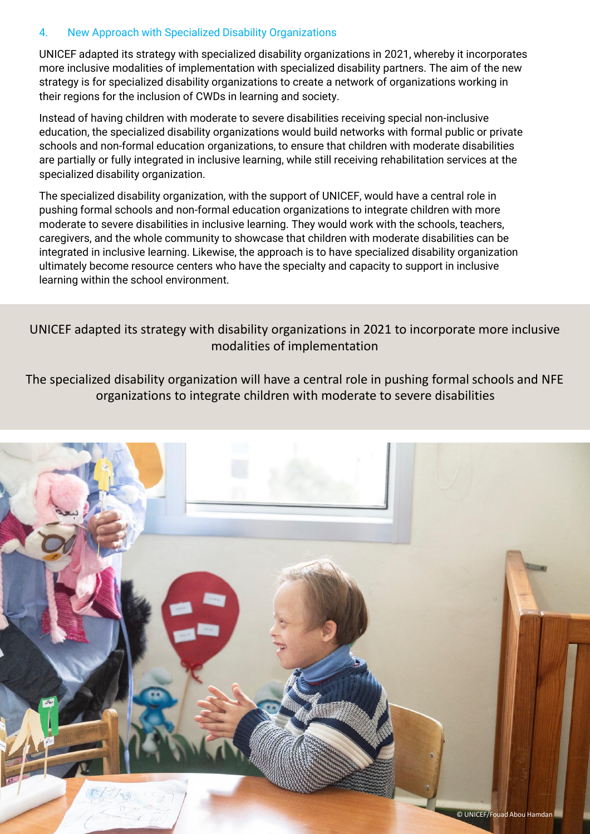### 4. New Approach with Specialized Disability Organizations

UNICEF adapted its strategy with specialized disability organizations in 2021, whereby it incorporates more inclusive modalities of implementation with specialized disability partners. The aim of the new strategy is for specialized disability organizations to create a network of organizations working in their regions for the inclusion of CWDs in learning and society.

Instead of having children with moderate to severe disabilities receiving special non-inclusive education, the specialized disability organizations would build networks with formal public or private schools and non-formal education organizations, to ensure that children with moderate disabilities are partially or fully integrated in inclusive learning, while still receiving rehabilitation services at the specialized disability organization.

The specialized disability organization, with the support of UNICEF, would have a central role in pushing formal schools and non-formal education organizations to integrate children with more moderate to severe disabilities in inclusive learning. They would work with the schools, teachers, caregivers, and the whole community to showcase that children with moderate disabilities can be integrated in inclusive learning. Likewise, the approach is to have specialized disability organization ultimately become resource centers who have the specialty and capacity to support in inclusive learning within the school environment.

UNICEF adapted its strategy with disability organizations in 2021 to incorporate more inclusive modalities of implementation

The specialized disability organization will have a central role in pushing formal schools and NFE organizations to integrate children with moderate to severe disabilities

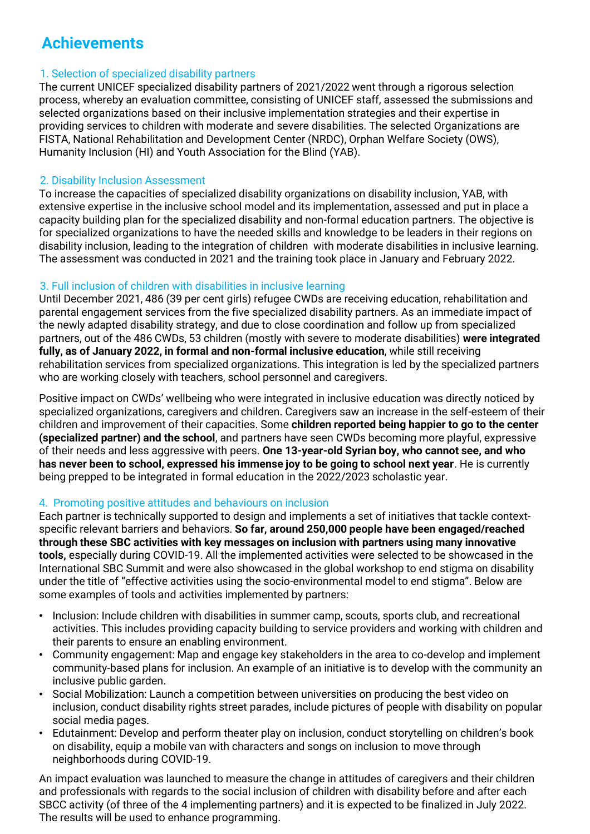# **Achievements**

### 1. Selection of specialized disability partners

The current UNICEF specialized disability partners of 2021/2022 went through a rigorous selection process, whereby an evaluation committee, consisting of UNICEF staff, assessed the submissions and selected organizations based on their inclusive implementation strategies and their expertise in providing services to children with moderate and severe disabilities. The selected Organizations are FISTA, National Rehabilitation and Development Center (NRDC), Orphan Welfare Society (OWS), Humanity Inclusion (HI) and Youth Association for the Blind (YAB).

### 2. Disability Inclusion Assessment

To increase the capacities of specialized disability organizations on disability inclusion, YAB, with extensive expertise in the inclusive school model and its implementation, assessed and put in place a capacity building plan for the specialized disability and non-formal education partners. The objective is for specialized organizations to have the needed skills and knowledge to be leaders in their regions on disability inclusion, leading to the integration of children with moderate disabilities in inclusive learning. The assessment was conducted in 2021 and the training took place in January and February 2022.

## 3. Full inclusion of children with disabilities in inclusive learning

Until December 2021, 486 (39 per cent girls) refugee CWDs are receiving education, rehabilitation and parental engagement services from the five specialized disability partners. As an immediate impact of the newly adapted disability strategy, and due to close coordination and follow up from specialized partners, out of the 486 CWDs, 53 children (mostly with severe to moderate disabilities) **were integrated fully, as of January 2022, in formal and non-formal inclusive education**, while still receiving rehabilitation services from specialized organizations. This integration is led by the specialized partners who are working closely with teachers, school personnel and caregivers.

Positive impact on CWDs' wellbeing who were integrated in inclusive education was directly noticed by specialized organizations, caregivers and children. Caregivers saw an increase in the self-esteem of their children and improvement of their capacities. Some **children reported being happier to go to the center (specialized partner) and the school**, and partners have seen CWDs becoming more playful, expressive of their needs and less aggressive with peers. **One 13-year-old Syrian boy, who cannot see, and who has never been to school, expressed his immense joy to be going to school next year**. He is currently being prepped to be integrated in formal education in the 2022/2023 scholastic year.

### 4. Promoting positive attitudes and behaviours on inclusion

Each partner is technically supported to design and implements a set of initiatives that tackle contextspecific relevant barriers and behaviors. **So far, around 250,000 people have been engaged/reached through these SBC activities with key messages on inclusion with partners using many innovative tools,** especially during COVID-19. All the implemented activities were selected to be showcased in the International SBC Summit and were also showcased in the global workshop to end stigma on disability under the title of "effective activities using the socio-environmental model to end stigma". Below are some examples of tools and activities implemented by partners:

- Inclusion: Include children with disabilities in summer camp, scouts, sports club, and recreational activities. This includes providing capacity building to service providers and working with children and their parents to ensure an enabling environment.
- Community engagement: Map and engage key stakeholders in the area to co-develop and implement community-based plans for inclusion. An example of an initiative is to develop with the community an inclusive public garden.
- Social Mobilization: Launch a competition between universities on producing the best video on inclusion, conduct disability rights street parades, include pictures of people with disability on popular social media pages.
- Edutainment: Develop and perform theater play on inclusion, conduct storytelling on children's book on disability, equip a mobile van with characters and songs on inclusion to move through neighborhoods during COVID-19.

An impact evaluation was launched to measure the change in attitudes of caregivers and their children and professionals with regards to the social inclusion of children with disability before and after each SBCC activity (of three of the 4 implementing partners) and it is expected to be finalized in July 2022. The results will be used to enhance programming.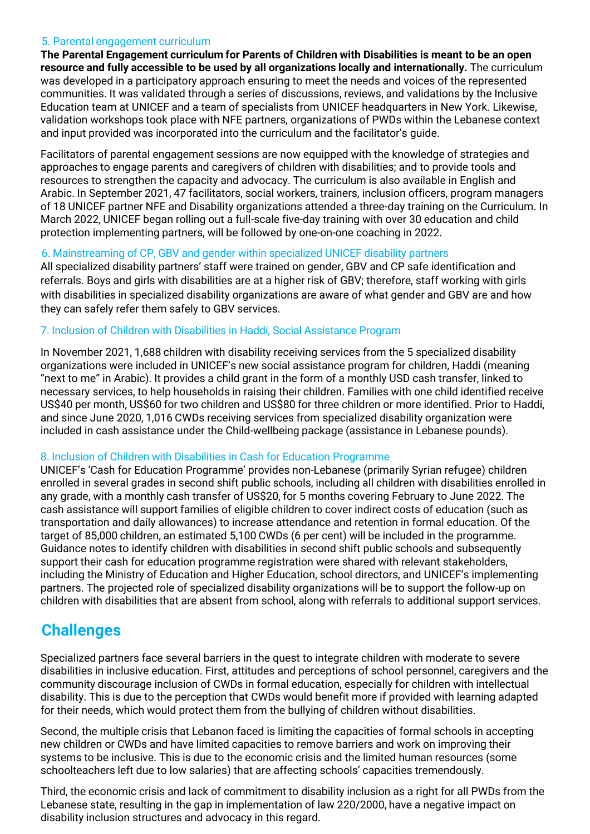#### 5. Parental engagement curriculum

**The Parental Engagement curriculum for Parents of Children with Disabilities is meant to be an open resource and fully accessible to be used by all organizations locally and internationally.** The curriculum was developed in a participatory approach ensuring to meet the needs and voices of the represented communities. It was validated through a series of discussions, reviews, and validations by the Inclusive Education team at UNICEF and a team of specialists from UNICEF headquarters in New York. Likewise, validation workshops took place with NFE partners, organizations of PWDs within the Lebanese context and input provided was incorporated into the curriculum and the facilitator's guide.

Facilitators of parental engagement sessions are now equipped with the knowledge of strategies and approaches to engage parents and caregivers of children with disabilities; and to provide tools and resources to strengthen the capacity and advocacy. The curriculum is also available in English and Arabic. In September 2021, 47 facilitators, social workers, trainers, inclusion officers, program managers of 18 UNICEF partner NFE and Disability organizations attended a three-day training on the Curriculum. In March 2022, UNICEF began rolling out a full-scale five-day training with over 30 education and child protection implementing partners, will be followed by one-on-one coaching in 2022.

#### 6. Mainstreaming of CP, GBV and gender within specialized UNICEF disability partners

All specialized disability partners' staff were trained on gender, GBV and CP safe identification and referrals. Boys and girls with disabilities are at a higher risk of GBV; therefore, staff working with girls with disabilities in specialized disability organizations are aware of what gender and GBV are and how they can safely refer them safely to GBV services.

#### 7. Inclusion of Children with Disabilities in Haddi, Social Assistance Program

In November 2021, 1,688 children with disability receiving services from the 5 specialized disability organizations were included in UNICEF's new social assistance program for children, Haddi (meaning "next to me" in Arabic). It provides a child grant in the form of a monthly USD cash transfer, linked to necessary services, to help households in raising their children. Families with one child identified receive US\$40 per month, US\$60 for two children and US\$80 for three children or more identified. Prior to Haddi, and since June 2020, 1,016 CWDs receiving services from specialized disability organization were included in cash assistance under the Child-wellbeing package (assistance in Lebanese pounds).

### 8. Inclusion of Children with Disabilities in Cash for Education Programme

UNICEF's 'Cash for Education Programme' provides non-Lebanese (primarily Syrian refugee) children enrolled in several grades in second shift public schools, including all children with disabilities enrolled in any grade, with a monthly cash transfer of US\$20, for 5 months covering February to June 2022. The cash assistance will support families of eligible children to cover indirect costs of education (such as transportation and daily allowances) to increase attendance and retention in formal education. Of the target of 85,000 children, an estimated 5,100 CWDs (6 per cent) will be included in the programme. Guidance notes to identify children with disabilities in second shift public schools and subsequently support their cash for education programme registration were shared with relevant stakeholders, including the Ministry of Education and Higher Education, school directors, and UNICEF's implementing partners. The projected role of specialized disability organizations will be to support the follow-up on children with disabilities that are absent from school, along with referrals to additional support services.

# **Challenges**

Specialized partners face several barriers in the quest to integrate children with moderate to severe disabilities in inclusive education. First, attitudes and perceptions of school personnel, caregivers and the community discourage inclusion of CWDs in formal education, especially for children with intellectual disability. This is due to the perception that CWDs would benefit more if provided with learning adapted for their needs, which would protect them from the bullying of children without disabilities.

Second, the multiple crisis that Lebanon faced is limiting the capacities of formal schools in accepting new children or CWDs and have limited capacities to remove barriers and work on improving their systems to be inclusive. This is due to the economic crisis and the limited human resources (some schoolteachers left due to low salaries) that are affecting schools' capacities tremendously.

Third, the economic crisis and lack of commitment to disability inclusion as a right for all PWDs from the Lebanese state, resulting in the gap in implementation of law 220/2000, have a negative impact on disability inclusion structures and advocacy in this regard.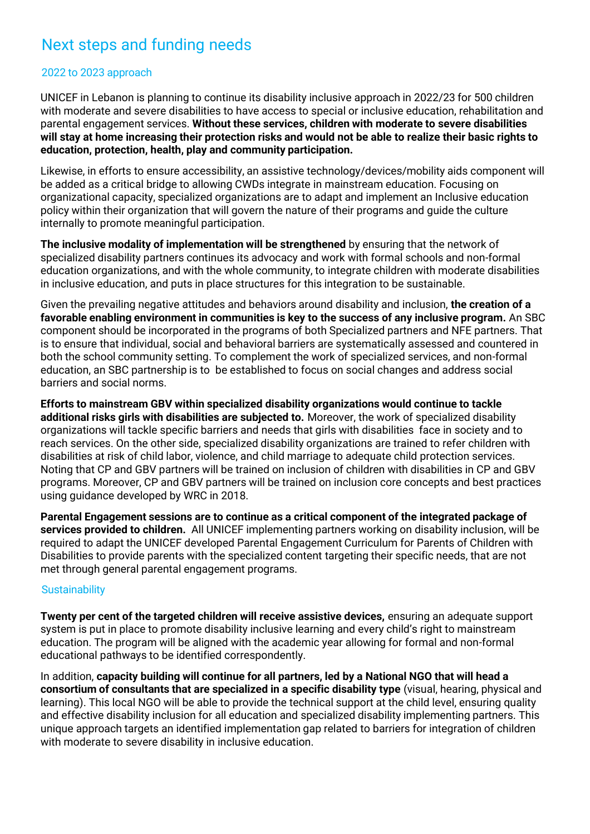# Next steps and funding needs

#### 2022 to 2023 approach

UNICEF in Lebanon is planning to continue its disability inclusive approach in 2022/23 for 500 children with moderate and severe disabilities to have access to special or inclusive education, rehabilitation and parental engagement services. **Without these services, children with moderate to severe disabilities will stay at home increasing their protection risks and would not be able to realize their basic rights to education, protection, health, play and community participation.** 

Likewise, in efforts to ensure accessibility, an assistive technology/devices/mobility aids component will be added as a critical bridge to allowing CWDs integrate in mainstream education. Focusing on organizational capacity, specialized organizations are to adapt and implement an Inclusive education policy within their organization that will govern the nature of their programs and guide the culture internally to promote meaningful participation.

**The inclusive modality of implementation will be strengthened** by ensuring that the network of specialized disability partners continues its advocacy and work with formal schools and non-formal education organizations, and with the whole community, to integrate children with moderate disabilities in inclusive education, and puts in place structures for this integration to be sustainable.

Given the prevailing negative attitudes and behaviors around disability and inclusion, **the creation of a favorable enabling environment in communities is key to the success of any inclusive program.** An SBC component should be incorporated in the programs of both Specialized partners and NFE partners. That is to ensure that individual, social and behavioral barriers are systematically assessed and countered in both the school community setting. To complement the work of specialized services, and non-formal education, an SBC partnership is to be established to focus on social changes and address social barriers and social norms.

**Efforts to mainstream GBV within specialized disability organizations would continue to tackle additional risks girls with disabilities are subjected to.** Moreover, the work of specialized disability organizations will tackle specific barriers and needs that girls with disabilities face in society and to reach services. On the other side, specialized disability organizations are trained to refer children with disabilities at risk of child labor, violence, and child marriage to adequate child protection services. Noting that CP and GBV partners will be trained on inclusion of children with disabilities in CP and GBV programs. Moreover, CP and GBV partners will be trained on inclusion core concepts and best practices using guidance developed by WRC in 2018.

**Parental Engagement sessions are to continue as a critical component of the integrated package of services provided to children.** All UNICEF implementing partners working on disability inclusion, will be required to adapt the UNICEF developed Parental Engagement Curriculum for Parents of Children with Disabilities to provide parents with the specialized content targeting their specific needs, that are not met through general parental engagement programs.

#### **Sustainability**

**Twenty per cent of the targeted children will receive assistive devices,** ensuring an adequate support system is put in place to promote disability inclusive learning and every child's right to mainstream education. The program will be aligned with the academic year allowing for formal and non-formal educational pathways to be identified correspondently.

In addition, **capacity building will continue for all partners, led by a National NGO that will head a consortium of consultants that are specialized in a specific disability type** (visual, hearing, physical and learning). This local NGO will be able to provide the technical support at the child level, ensuring quality and effective disability inclusion for all education and specialized disability implementing partners. This unique approach targets an identified implementation gap related to barriers for integration of children with moderate to severe disability in inclusive education.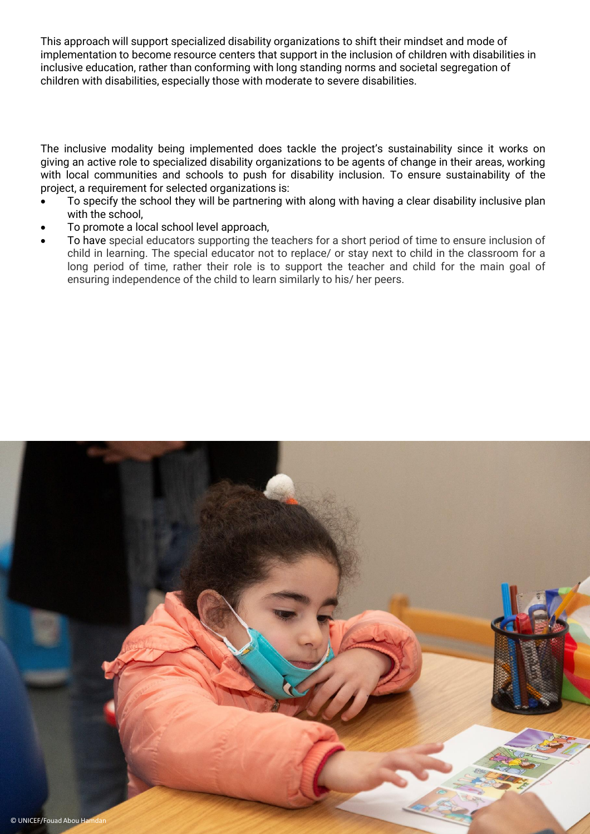This approach will support specialized disability organizations to shift their mindset and mode of implementation to become resource centers that support in the inclusion of children with disabilities in inclusive education, rather than conforming with long standing norms and societal segregation of children with disabilities, especially those with moderate to severe disabilities.

The inclusive modality being implemented does tackle the project's sustainability since it works on giving an active role to specialized disability organizations to be agents of change in their areas, working with local communities and schools to push for disability inclusion. To ensure sustainability of the project, a requirement for selected organizations is:

- To specify the school they will be partnering with along with having a clear disability inclusive plan with the school,
- To promote a local school level approach,
- To have special educators supporting the teachers for a short period of time to ensure inclusion of child in learning. The special educator not to replace/ or stay next to child in the classroom for a long period of time, rather their role is to support the teacher and child for the main goal of ensuring independence of the child to learn similarly to his/ her peers.